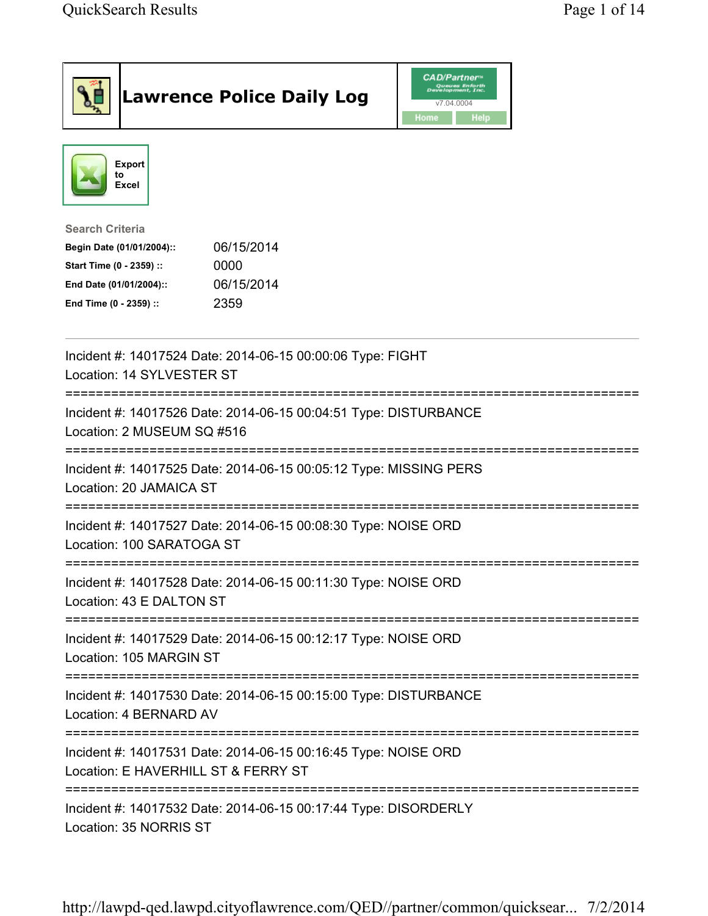|                                                                                                                                      | <b>Lawrence Police Daily Log</b>                                | <b>CAD/Partner</b><br>Queues Enforth<br>Development, Inc.<br>v7.04.0004<br>Home<br><b>Help</b> |  |  |
|--------------------------------------------------------------------------------------------------------------------------------------|-----------------------------------------------------------------|------------------------------------------------------------------------------------------------|--|--|
| <b>Export</b><br>to<br><b>Excel</b>                                                                                                  |                                                                 |                                                                                                |  |  |
| <b>Search Criteria</b><br>Begin Date (01/01/2004)::<br>Start Time (0 - 2359) ::<br>End Date (01/01/2004)::<br>End Time (0 - 2359) :: | 06/15/2014<br>0000<br>06/15/2014<br>2359                        |                                                                                                |  |  |
| Incident #: 14017524 Date: 2014-06-15 00:00:06 Type: FIGHT<br>Location: 14 SYLVESTER ST                                              |                                                                 |                                                                                                |  |  |
| Incident #: 14017526 Date: 2014-06-15 00:04:51 Type: DISTURBANCE<br>Location: 2 MUSEUM SQ #516                                       |                                                                 |                                                                                                |  |  |
| Incident #: 14017525 Date: 2014-06-15 00:05:12 Type: MISSING PERS<br>Location: 20 JAMAICA ST                                         |                                                                 |                                                                                                |  |  |
| Incident #: 14017527 Date: 2014-06-15 00:08:30 Type: NOISE ORD<br>Location: 100 SARATOGA ST                                          |                                                                 |                                                                                                |  |  |
| Incident #: 14017528 Date: 2014-06-15 00:11:30 Type: NOISE ORD<br>Location: 43 E DALTON ST                                           |                                                                 |                                                                                                |  |  |
| Location: 105 MARGIN ST                                                                                                              | Incident #: 14017529 Date: 2014-06-15 00:12:17 Type: NOISE ORD  |                                                                                                |  |  |
| Incident #: 14017530 Date: 2014-06-15 00:15:00 Type: DISTURBANCE<br>Location: 4 BERNARD AV                                           |                                                                 |                                                                                                |  |  |
| Location: E HAVERHILL ST & FERRY ST                                                                                                  | Incident #: 14017531 Date: 2014-06-15 00:16:45 Type: NOISE ORD  |                                                                                                |  |  |
| Location: 35 NORRIS ST                                                                                                               | Incident #: 14017532 Date: 2014-06-15 00:17:44 Type: DISORDERLY |                                                                                                |  |  |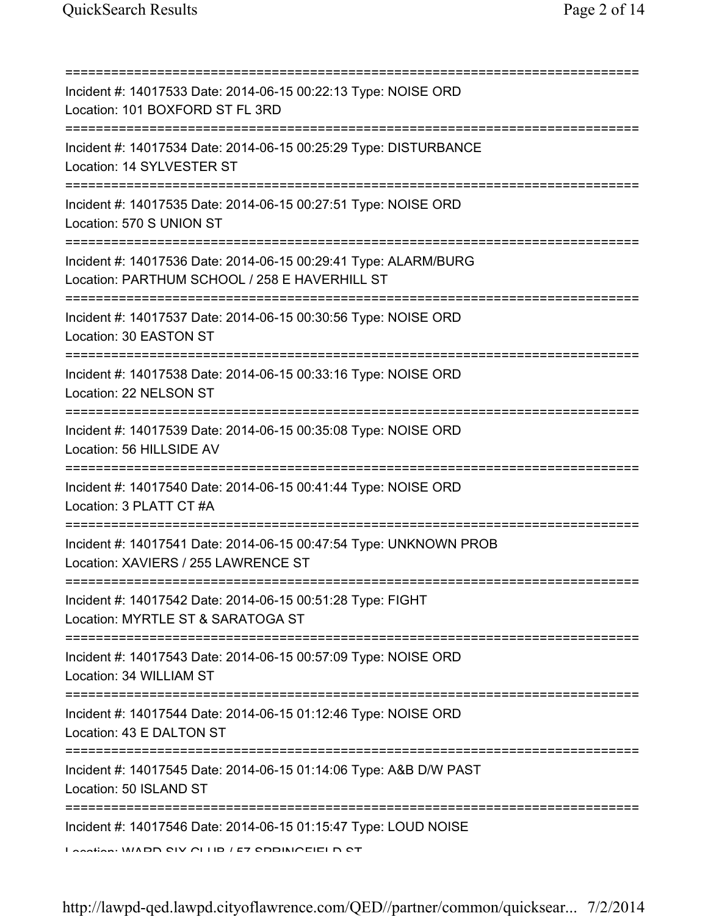| Incident #: 14017533 Date: 2014-06-15 00:22:13 Type: NOISE ORD<br>Location: 101 BOXFORD ST FL 3RD<br>=======================                           |
|--------------------------------------------------------------------------------------------------------------------------------------------------------|
| Incident #: 14017534 Date: 2014-06-15 00:25:29 Type: DISTURBANCE<br>Location: 14 SYLVESTER ST                                                          |
| Incident #: 14017535 Date: 2014-06-15 00:27:51 Type: NOISE ORD<br>Location: 570 S UNION ST                                                             |
| Incident #: 14017536 Date: 2014-06-15 00:29:41 Type: ALARM/BURG<br>Location: PARTHUM SCHOOL / 258 E HAVERHILL ST                                       |
| ;====================================<br>Incident #: 14017537 Date: 2014-06-15 00:30:56 Type: NOISE ORD<br>Location: 30 EASTON ST                      |
| ===============================<br>Incident #: 14017538 Date: 2014-06-15 00:33:16 Type: NOISE ORD<br>Location: 22 NELSON ST                            |
| Incident #: 14017539 Date: 2014-06-15 00:35:08 Type: NOISE ORD<br>Location: 56 HILLSIDE AV                                                             |
| Incident #: 14017540 Date: 2014-06-15 00:41:44 Type: NOISE ORD<br>Location: 3 PLATT CT #A                                                              |
| Incident #: 14017541 Date: 2014-06-15 00:47:54 Type: UNKNOWN PROB<br>Location: XAVIERS / 255 LAWRENCE ST                                               |
| Incident #: 14017542 Date: 2014-06-15 00:51:28 Type: FIGHT<br>Location: MYRTLE ST & SARATOGA ST                                                        |
| Incident #: 14017543 Date: 2014-06-15 00:57:09 Type: NOISE ORD<br>Location: 34 WILLIAM ST                                                              |
| :==================================<br>Incident #: 14017544 Date: 2014-06-15 01:12:46 Type: NOISE ORD<br>Location: 43 E DALTON ST                      |
| Incident #: 14017545 Date: 2014-06-15 01:14:06 Type: A&B D/W PAST<br>Location: 50 ISLAND ST                                                            |
| Incident #: 14017546 Date: 2014-06-15 01:15:47 Type: LOUD NOISE<br>$\overline{1}$ antian: $\overline{1010}$ OIV OLLID $\overline{157}$ CDDINIOEIELD CT |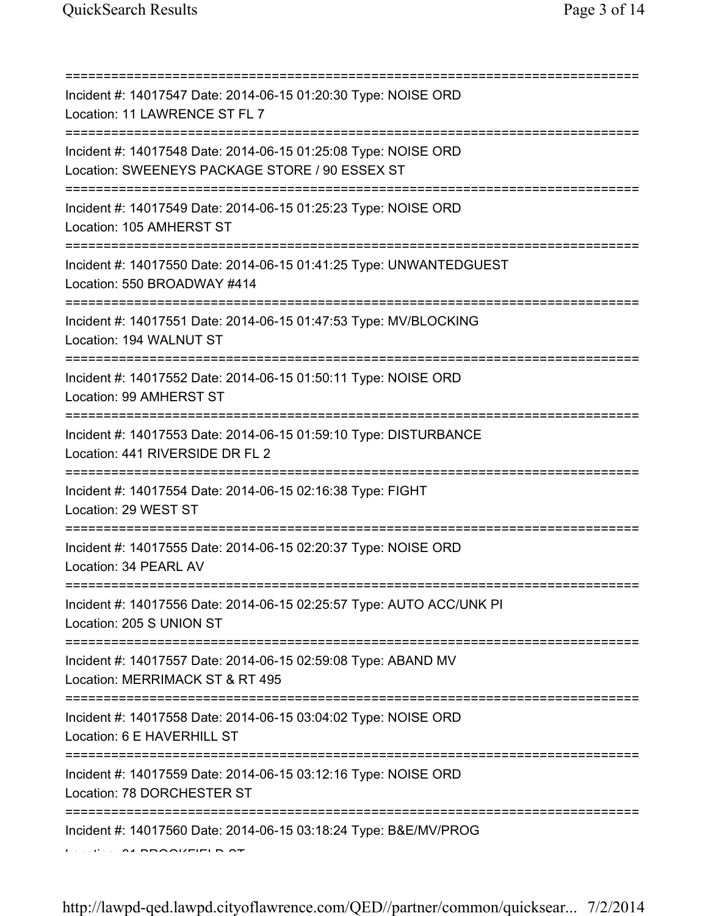=========================================================================== Incident #: 14017547 Date: 2014-06-15 01:20:30 Type: NOISE ORD Location: 11 LAWRENCE ST FL 7 =========================================================================== Incident #: 14017548 Date: 2014-06-15 01:25:08 Type: NOISE ORD Location: SWEENEYS PACKAGE STORE / 90 ESSEX ST =========================================================================== Incident #: 14017549 Date: 2014-06-15 01:25:23 Type: NOISE ORD Location: 105 AMHERST ST =========================================================================== Incident #: 14017550 Date: 2014-06-15 01:41:25 Type: UNWANTEDGUEST Location: 550 BROADWAY #414 =========================================================================== Incident #: 14017551 Date: 2014-06-15 01:47:53 Type: MV/BLOCKING Location: 194 WALNUT ST =========================================================================== Incident #: 14017552 Date: 2014-06-15 01:50:11 Type: NOISE ORD Location: 99 AMHERST ST =========================================================================== Incident #: 14017553 Date: 2014-06-15 01:59:10 Type: DISTURBANCE Location: 441 RIVERSIDE DR FL 2 =========================================================================== Incident #: 14017554 Date: 2014-06-15 02:16:38 Type: FIGHT Location: 29 WEST ST =========================================================================== Incident #: 14017555 Date: 2014-06-15 02:20:37 Type: NOISE ORD Location: 34 PEARL AV =========================================================================== Incident #: 14017556 Date: 2014-06-15 02:25:57 Type: AUTO ACC/UNK PI Location: 205 S UNION ST =========================================================================== Incident #: 14017557 Date: 2014-06-15 02:59:08 Type: ABAND MV Location: MERRIMACK ST & RT 495 =========================================================================== Incident #: 14017558 Date: 2014-06-15 03:04:02 Type: NOISE ORD Location: 6 E HAVERHILL ST =========================================================================== Incident #: 14017559 Date: 2014-06-15 03:12:16 Type: NOISE ORD Location: 78 DORCHESTER ST =========================================================================== Incident #: 14017560 Date: 2014-06-15 03:18:24 Type: B&E/MV/PROG Location: 81 BROOKFIELD ST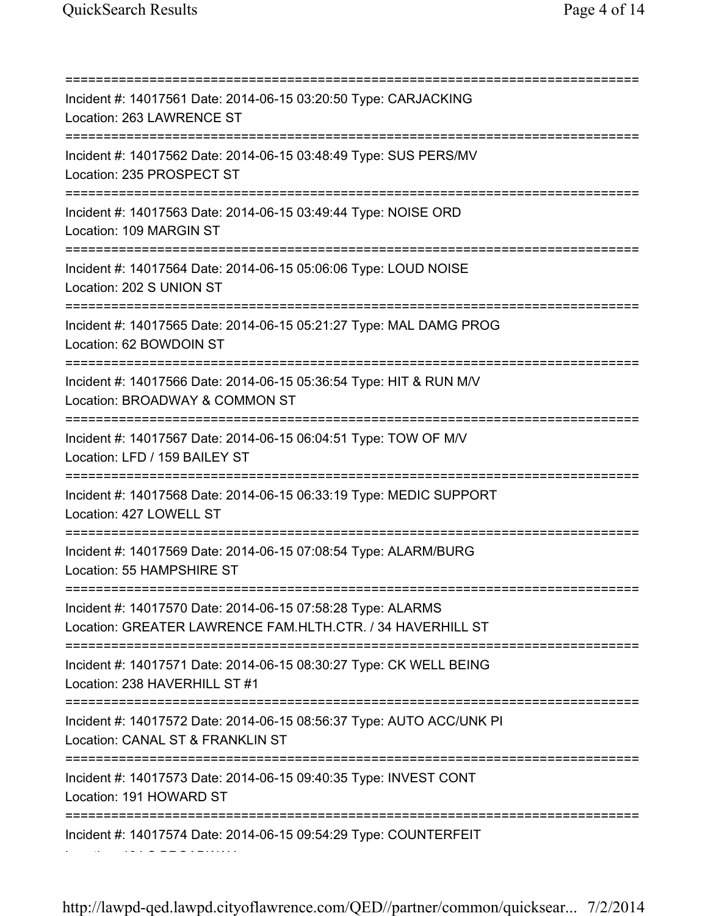=========================================================================== Incident #: 14017561 Date: 2014-06-15 03:20:50 Type: CARJACKING Location: 263 LAWRENCE ST =========================================================================== Incident #: 14017562 Date: 2014-06-15 03:48:49 Type: SUS PERS/MV Location: 235 PROSPECT ST =========================================================================== Incident #: 14017563 Date: 2014-06-15 03:49:44 Type: NOISE ORD Location: 109 MARGIN ST =========================================================================== Incident #: 14017564 Date: 2014-06-15 05:06:06 Type: LOUD NOISE Location: 202 S UNION ST =========================================================================== Incident #: 14017565 Date: 2014-06-15 05:21:27 Type: MAL DAMG PROG Location: 62 BOWDOIN ST =========================================================================== Incident #: 14017566 Date: 2014-06-15 05:36:54 Type: HIT & RUN M/V Location: BROADWAY & COMMON ST =========================================================================== Incident #: 14017567 Date: 2014-06-15 06:04:51 Type: TOW OF M/V Location: LFD / 159 BAILEY ST =========================================================================== Incident #: 14017568 Date: 2014-06-15 06:33:19 Type: MEDIC SUPPORT Location: 427 LOWELL ST =========================================================================== Incident #: 14017569 Date: 2014-06-15 07:08:54 Type: ALARM/BURG Location: 55 HAMPSHIRE ST =========================================================================== Incident #: 14017570 Date: 2014-06-15 07:58:28 Type: ALARMS Location: GREATER LAWRENCE FAM.HLTH.CTR. / 34 HAVERHILL ST =========================================================================== Incident #: 14017571 Date: 2014-06-15 08:30:27 Type: CK WELL BEING Location: 238 HAVERHILL ST #1 =========================================================================== Incident #: 14017572 Date: 2014-06-15 08:56:37 Type: AUTO ACC/UNK PI Location: CANAL ST & FRANKLIN ST =========================================================================== Incident #: 14017573 Date: 2014-06-15 09:40:35 Type: INVEST CONT Location: 191 HOWARD ST =========================================================================== Incident #: 14017574 Date: 2014-06-15 09:54:29 Type: COUNTERFEIT Location: 194 S BROADWAY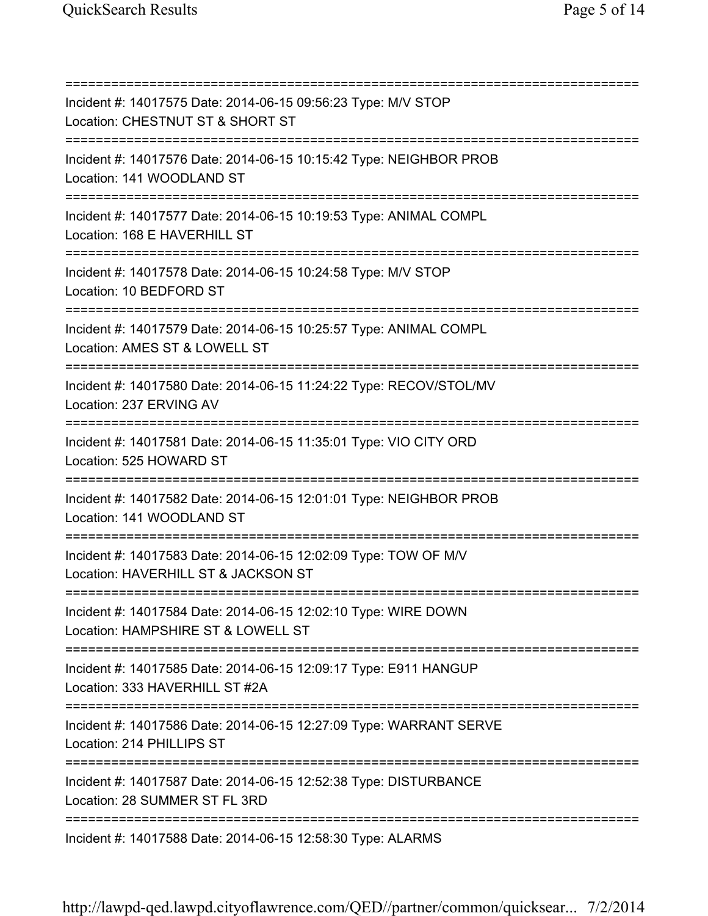=========================================================================== Incident #: 14017575 Date: 2014-06-15 09:56:23 Type: M/V STOP Location: CHESTNUT ST & SHORT ST =========================================================================== Incident #: 14017576 Date: 2014-06-15 10:15:42 Type: NEIGHBOR PROB Location: 141 WOODLAND ST =========================================================================== Incident #: 14017577 Date: 2014-06-15 10:19:53 Type: ANIMAL COMPL Location: 168 E HAVERHILL ST =========================================================================== Incident #: 14017578 Date: 2014-06-15 10:24:58 Type: M/V STOP Location: 10 BEDFORD ST =========================================================================== Incident #: 14017579 Date: 2014-06-15 10:25:57 Type: ANIMAL COMPL Location: AMES ST & LOWELL ST =========================================================================== Incident #: 14017580 Date: 2014-06-15 11:24:22 Type: RECOV/STOL/MV Location: 237 ERVING AV =========================================================================== Incident #: 14017581 Date: 2014-06-15 11:35:01 Type: VIO CITY ORD Location: 525 HOWARD ST =========================================================================== Incident #: 14017582 Date: 2014-06-15 12:01:01 Type: NEIGHBOR PROB Location: 141 WOODLAND ST =========================================================================== Incident #: 14017583 Date: 2014-06-15 12:02:09 Type: TOW OF M/V Location: HAVERHILL ST & JACKSON ST =========================================================================== Incident #: 14017584 Date: 2014-06-15 12:02:10 Type: WIRE DOWN Location: HAMPSHIRE ST & LOWELL ST =========================================================================== Incident #: 14017585 Date: 2014-06-15 12:09:17 Type: E911 HANGUP Location: 333 HAVERHILL ST #2A =========================================================================== Incident #: 14017586 Date: 2014-06-15 12:27:09 Type: WARRANT SERVE Location: 214 PHILLIPS ST =========================================================================== Incident #: 14017587 Date: 2014-06-15 12:52:38 Type: DISTURBANCE Location: 28 SUMMER ST FL 3RD =========================================================================== Incident #: 14017588 Date: 2014-06-15 12:58:30 Type: ALARMS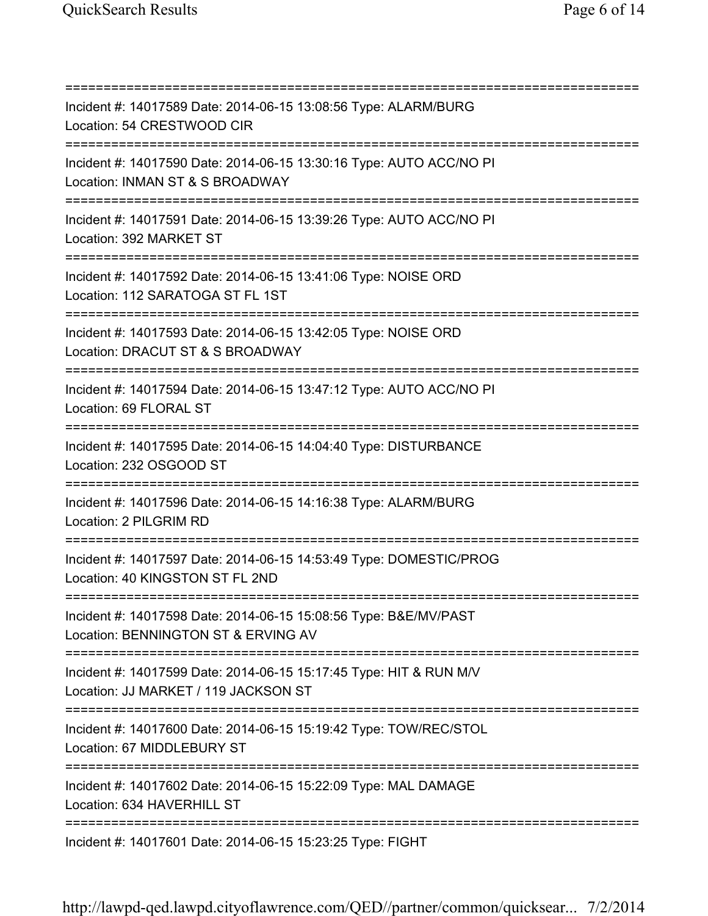=========================================================================== Incident #: 14017589 Date: 2014-06-15 13:08:56 Type: ALARM/BURG Location: 54 CRESTWOOD CIR =========================================================================== Incident #: 14017590 Date: 2014-06-15 13:30:16 Type: AUTO ACC/NO PI Location: INMAN ST & S BROADWAY =========================================================================== Incident #: 14017591 Date: 2014-06-15 13:39:26 Type: AUTO ACC/NO PI Location: 392 MARKET ST =========================================================================== Incident #: 14017592 Date: 2014-06-15 13:41:06 Type: NOISE ORD Location: 112 SARATOGA ST FL 1ST =========================================================================== Incident #: 14017593 Date: 2014-06-15 13:42:05 Type: NOISE ORD Location: DRACUT ST & S BROADWAY =========================================================================== Incident #: 14017594 Date: 2014-06-15 13:47:12 Type: AUTO ACC/NO PI Location: 69 FLORAL ST =========================================================================== Incident #: 14017595 Date: 2014-06-15 14:04:40 Type: DISTURBANCE Location: 232 OSGOOD ST =========================================================================== Incident #: 14017596 Date: 2014-06-15 14:16:38 Type: ALARM/BURG Location: 2 PILGRIM RD =========================================================================== Incident #: 14017597 Date: 2014-06-15 14:53:49 Type: DOMESTIC/PROG Location: 40 KINGSTON ST FL 2ND =========================================================================== Incident #: 14017598 Date: 2014-06-15 15:08:56 Type: B&E/MV/PAST Location: BENNINGTON ST & ERVING AV =========================================================================== Incident #: 14017599 Date: 2014-06-15 15:17:45 Type: HIT & RUN M/V Location: JJ MARKET / 119 JACKSON ST =========================================================================== Incident #: 14017600 Date: 2014-06-15 15:19:42 Type: TOW/REC/STOL Location: 67 MIDDLEBURY ST =========================================================================== Incident #: 14017602 Date: 2014-06-15 15:22:09 Type: MAL DAMAGE Location: 634 HAVERHILL ST =========================================================================== Incident #: 14017601 Date: 2014-06-15 15:23:25 Type: FIGHT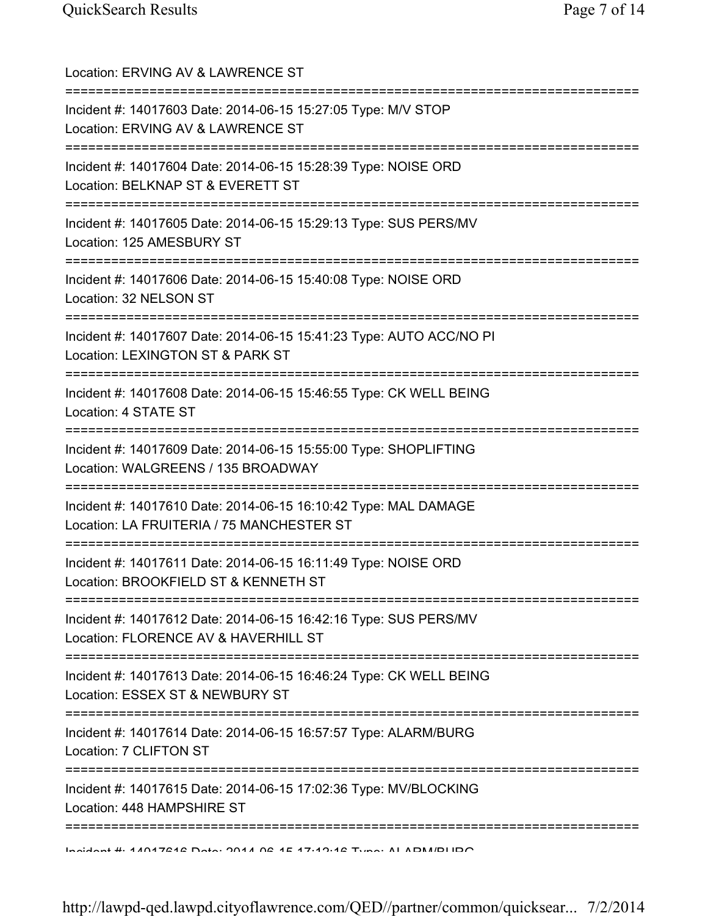| Location: ERVING AV & LAWRENCE ST                                                                                                                |
|--------------------------------------------------------------------------------------------------------------------------------------------------|
| Incident #: 14017603 Date: 2014-06-15 15:27:05 Type: M/V STOP<br>Location: ERVING AV & LAWRENCE ST                                               |
| Incident #: 14017604 Date: 2014-06-15 15:28:39 Type: NOISE ORD<br>Location: BELKNAP ST & EVERETT ST                                              |
| Incident #: 14017605 Date: 2014-06-15 15:29:13 Type: SUS PERS/MV<br>Location: 125 AMESBURY ST<br>=====================================           |
| Incident #: 14017606 Date: 2014-06-15 15:40:08 Type: NOISE ORD<br>Location: 32 NELSON ST<br>================================                     |
| Incident #: 14017607 Date: 2014-06-15 15:41:23 Type: AUTO ACC/NO PI<br>Location: LEXINGTON ST & PARK ST<br>================                      |
| Incident #: 14017608 Date: 2014-06-15 15:46:55 Type: CK WELL BEING<br>Location: 4 STATE ST                                                       |
| =======================<br>Incident #: 14017609 Date: 2014-06-15 15:55:00 Type: SHOPLIFTING<br>Location: WALGREENS / 135 BROADWAY                |
| Incident #: 14017610 Date: 2014-06-15 16:10:42 Type: MAL DAMAGE<br>Location: LA FRUITERIA / 75 MANCHESTER ST                                     |
| Incident #: 14017611 Date: 2014-06-15 16:11:49 Type: NOISE ORD<br>Location: BROOKFIELD ST & KENNETH ST                                           |
| ====================================<br>Incident #: 14017612 Date: 2014-06-15 16:42:16 Type: SUS PERS/MV<br>Location: FLORENCE AV & HAVERHILL ST |
| Incident #: 14017613 Date: 2014-06-15 16:46:24 Type: CK WELL BEING<br>Location: ESSEX ST & NEWBURY ST                                            |
| Incident #: 14017614 Date: 2014-06-15 16:57:57 Type: ALARM/BURG<br>Location: 7 CLIFTON ST                                                        |
| Incident #: 14017615 Date: 2014-06-15 17:02:36 Type: MV/BLOCKING<br>Location: 448 HAMPSHIRE ST                                                   |
| <u>Indident #: 14047242 Data: 2014 02:45 47:49:42 Tune: ALADM/DLIDO</u>                                                                          |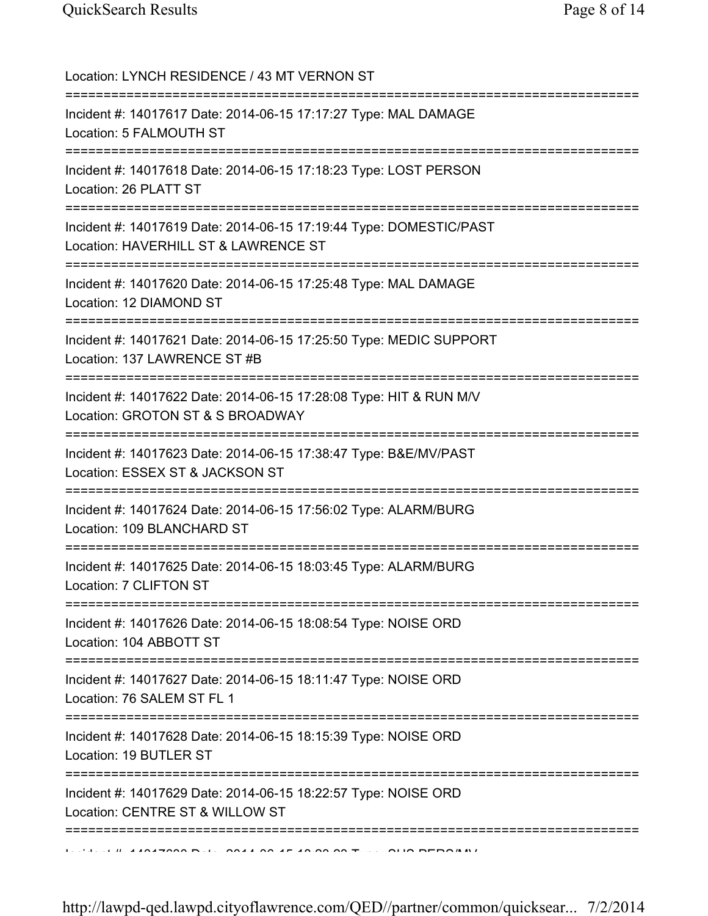| Location: LYNCH RESIDENCE / 43 MT VERNON ST                                                                                               |
|-------------------------------------------------------------------------------------------------------------------------------------------|
| Incident #: 14017617 Date: 2014-06-15 17:17:27 Type: MAL DAMAGE<br>Location: 5 FALMOUTH ST                                                |
| Incident #: 14017618 Date: 2014-06-15 17:18:23 Type: LOST PERSON<br>Location: 26 PLATT ST                                                 |
| Incident #: 14017619 Date: 2014-06-15 17:19:44 Type: DOMESTIC/PAST<br>Location: HAVERHILL ST & LAWRENCE ST                                |
| Incident #: 14017620 Date: 2014-06-15 17:25:48 Type: MAL DAMAGE<br>Location: 12 DIAMOND ST                                                |
| Incident #: 14017621 Date: 2014-06-15 17:25:50 Type: MEDIC SUPPORT<br>Location: 137 LAWRENCE ST #B                                        |
| Incident #: 14017622 Date: 2014-06-15 17:28:08 Type: HIT & RUN M/V<br>Location: GROTON ST & S BROADWAY<br>;============================== |
| Incident #: 14017623 Date: 2014-06-15 17:38:47 Type: B&E/MV/PAST<br>Location: ESSEX ST & JACKSON ST                                       |
| Incident #: 14017624 Date: 2014-06-15 17:56:02 Type: ALARM/BURG<br>Location: 109 BLANCHARD ST                                             |
| Incident #: 14017625 Date: 2014-06-15 18:03:45 Type: ALARM/BURG<br>Location: 7 CLIFTON ST                                                 |
| Incident #: 14017626 Date: 2014-06-15 18:08:54 Type: NOISE ORD<br>Location: 104 ABBOTT ST                                                 |
| Incident #: 14017627 Date: 2014-06-15 18:11:47 Type: NOISE ORD<br>Location: 76 SALEM ST FL 1                                              |
| Incident #: 14017628 Date: 2014-06-15 18:15:39 Type: NOISE ORD<br>Location: 19 BUTLER ST                                                  |
| Incident #: 14017629 Date: 2014-06-15 18:22:57 Type: NOISE ORD<br>Location: CENTRE ST & WILLOW ST                                         |
| ================                                                                                                                          |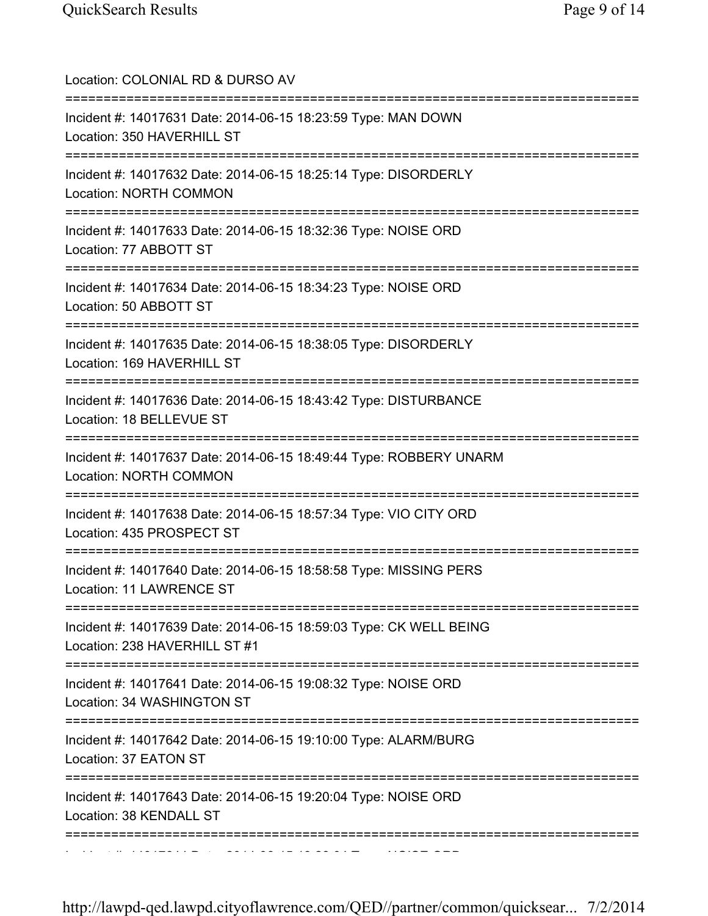| Location: COLONIAL RD & DURSO AV<br>========================                                                                          |
|---------------------------------------------------------------------------------------------------------------------------------------|
| Incident #: 14017631 Date: 2014-06-15 18:23:59 Type: MAN DOWN<br>Location: 350 HAVERHILL ST                                           |
| Incident #: 14017632 Date: 2014-06-15 18:25:14 Type: DISORDERLY<br><b>Location: NORTH COMMON</b>                                      |
| Incident #: 14017633 Date: 2014-06-15 18:32:36 Type: NOISE ORD<br>Location: 77 ABBOTT ST                                              |
| Incident #: 14017634 Date: 2014-06-15 18:34:23 Type: NOISE ORD<br>Location: 50 ABBOTT ST                                              |
| ====================================<br>Incident #: 14017635 Date: 2014-06-15 18:38:05 Type: DISORDERLY<br>Location: 169 HAVERHILL ST |
| Incident #: 14017636 Date: 2014-06-15 18:43:42 Type: DISTURBANCE<br>Location: 18 BELLEVUE ST                                          |
| Incident #: 14017637 Date: 2014-06-15 18:49:44 Type: ROBBERY UNARM<br><b>Location: NORTH COMMON</b>                                   |
| Incident #: 14017638 Date: 2014-06-15 18:57:34 Type: VIO CITY ORD<br>Location: 435 PROSPECT ST                                        |
| Incident #: 14017640 Date: 2014-06-15 18:58:58 Type: MISSING PERS<br>Location: 11 LAWRENCE ST                                         |
| Incident #: 14017639 Date: 2014-06-15 18:59:03 Type: CK WELL BEING<br>Location: 238 HAVERHILL ST #1                                   |
| :========<br>Incident #: 14017641 Date: 2014-06-15 19:08:32 Type: NOISE ORD<br>Location: 34 WASHINGTON ST                             |
| Incident #: 14017642 Date: 2014-06-15 19:10:00 Type: ALARM/BURG<br>Location: 37 EATON ST                                              |
| Incident #: 14017643 Date: 2014-06-15 19:20:04 Type: NOISE ORD<br>Location: 38 KENDALL ST                                             |
|                                                                                                                                       |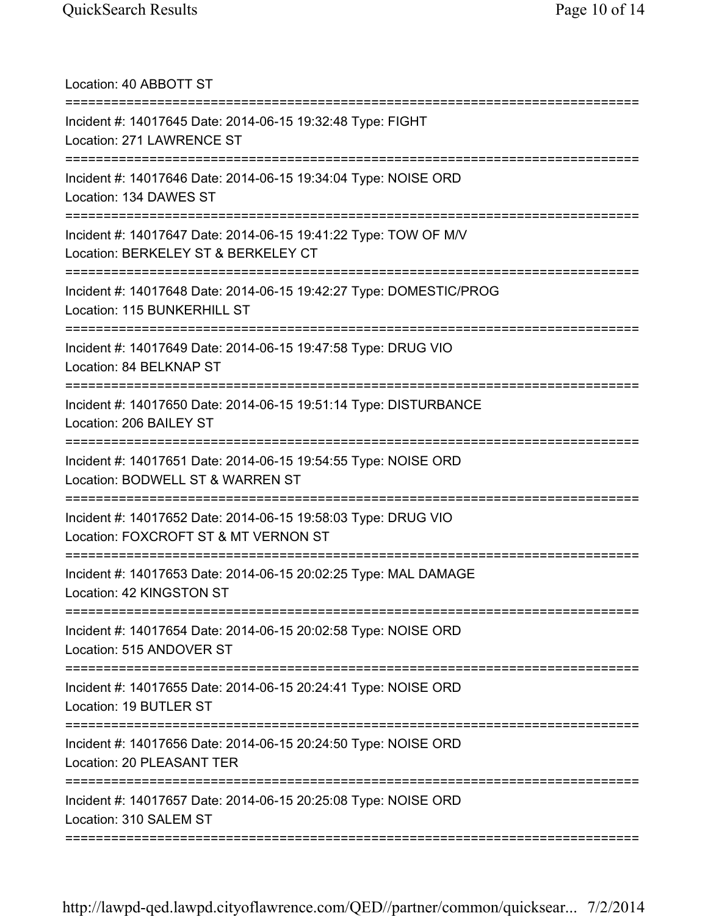Location: 40 ABBOTT ST =========================================================================== Incident #: 14017645 Date: 2014-06-15 19:32:48 Type: FIGHT Location: 271 LAWRENCE ST =========================================================================== Incident #: 14017646 Date: 2014-06-15 19:34:04 Type: NOISE ORD Location: 134 DAWES ST =========================================================================== Incident #: 14017647 Date: 2014-06-15 19:41:22 Type: TOW OF M/V Location: BERKELEY ST & BERKELEY CT =========================================================================== Incident #: 14017648 Date: 2014-06-15 19:42:27 Type: DOMESTIC/PROG Location: 115 BUNKERHILL ST =========================================================================== Incident #: 14017649 Date: 2014-06-15 19:47:58 Type: DRUG VIO Location: 84 BELKNAP ST =========================================================================== Incident #: 14017650 Date: 2014-06-15 19:51:14 Type: DISTURBANCE Location: 206 BAILEY ST =========================================================================== Incident #: 14017651 Date: 2014-06-15 19:54:55 Type: NOISE ORD Location: BODWELL ST & WARREN ST =========================================================================== Incident #: 14017652 Date: 2014-06-15 19:58:03 Type: DRUG VIO Location: FOXCROFT ST & MT VERNON ST =========================================================================== Incident #: 14017653 Date: 2014-06-15 20:02:25 Type: MAL DAMAGE Location: 42 KINGSTON ST =========================================================================== Incident #: 14017654 Date: 2014-06-15 20:02:58 Type: NOISE ORD Location: 515 ANDOVER ST =========================================================================== Incident #: 14017655 Date: 2014-06-15 20:24:41 Type: NOISE ORD Location: 19 BUTLER ST =========================================================================== Incident #: 14017656 Date: 2014-06-15 20:24:50 Type: NOISE ORD Location: 20 PLEASANT TER =========================================================================== Incident #: 14017657 Date: 2014-06-15 20:25:08 Type: NOISE ORD Location: 310 SALEM ST ===========================================================================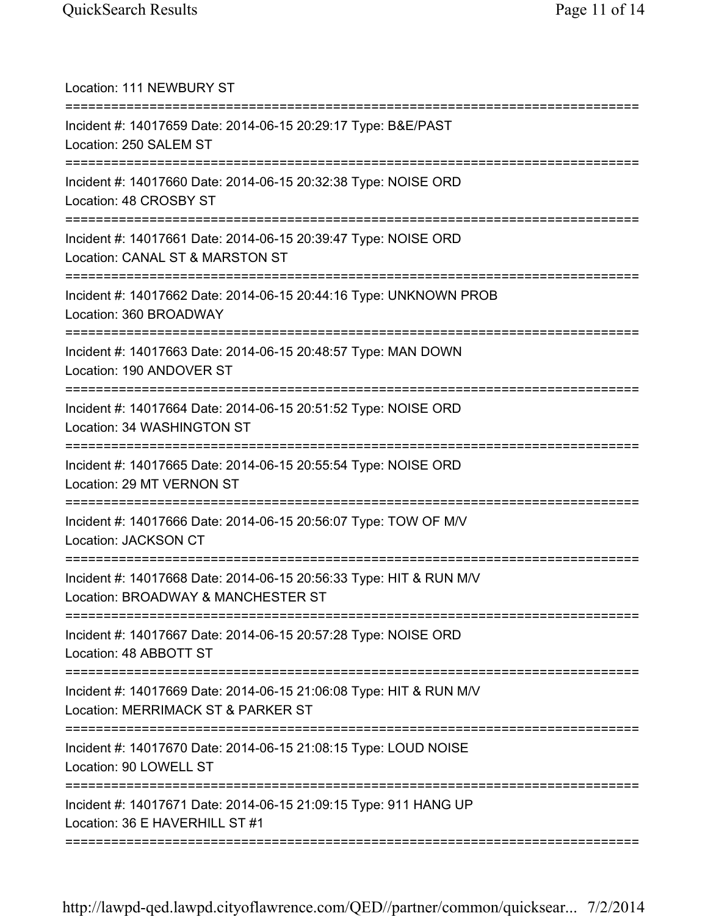| Location: 111 NEWBURY ST<br>=====================                                                                        |
|--------------------------------------------------------------------------------------------------------------------------|
| Incident #: 14017659 Date: 2014-06-15 20:29:17 Type: B&E/PAST<br>Location: 250 SALEM ST<br>=======================       |
| Incident #: 14017660 Date: 2014-06-15 20:32:38 Type: NOISE ORD<br>Location: 48 CROSBY ST                                 |
| Incident #: 14017661 Date: 2014-06-15 20:39:47 Type: NOISE ORD<br>Location: CANAL ST & MARSTON ST<br>:================== |
| Incident #: 14017662 Date: 2014-06-15 20:44:16 Type: UNKNOWN PROB<br>Location: 360 BROADWAY                              |
| Incident #: 14017663 Date: 2014-06-15 20:48:57 Type: MAN DOWN<br>Location: 190 ANDOVER ST                                |
| Incident #: 14017664 Date: 2014-06-15 20:51:52 Type: NOISE ORD<br>Location: 34 WASHINGTON ST                             |
| Incident #: 14017665 Date: 2014-06-15 20:55:54 Type: NOISE ORD<br>Location: 29 MT VERNON ST                              |
| Incident #: 14017666 Date: 2014-06-15 20:56:07 Type: TOW OF M/V<br>Location: JACKSON CT                                  |
| Incident #: 14017668 Date: 2014-06-15 20:56:33 Type: HIT & RUN M/V<br>Location: BROADWAY & MANCHESTER ST                 |
| Incident #: 14017667 Date: 2014-06-15 20:57:28 Type: NOISE ORD<br>Location: 48 ABBOTT ST                                 |
| Incident #: 14017669 Date: 2014-06-15 21:06:08 Type: HIT & RUN M/V<br>Location: MERRIMACK ST & PARKER ST                 |
| Incident #: 14017670 Date: 2014-06-15 21:08:15 Type: LOUD NOISE<br>Location: 90 LOWELL ST                                |
| Incident #: 14017671 Date: 2014-06-15 21:09:15 Type: 911 HANG UP<br>Location: 36 E HAVERHILL ST #1                       |
|                                                                                                                          |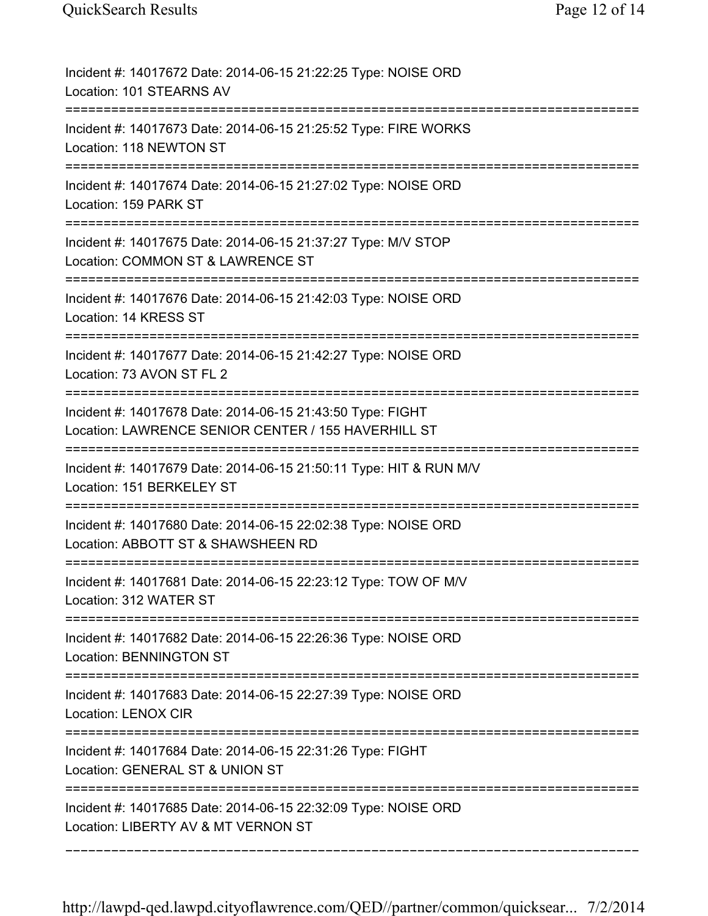| Incident #: 14017672 Date: 2014-06-15 21:22:25 Type: NOISE ORD<br>Location: 101 STEARNS AV                                                      |
|-------------------------------------------------------------------------------------------------------------------------------------------------|
| Incident #: 14017673 Date: 2014-06-15 21:25:52 Type: FIRE WORKS<br>Location: 118 NEWTON ST                                                      |
| Incident #: 14017674 Date: 2014-06-15 21:27:02 Type: NOISE ORD<br>Location: 159 PARK ST                                                         |
| Incident #: 14017675 Date: 2014-06-15 21:37:27 Type: M/V STOP<br>Location: COMMON ST & LAWRENCE ST                                              |
| Incident #: 14017676 Date: 2014-06-15 21:42:03 Type: NOISE ORD<br>Location: 14 KRESS ST                                                         |
| Incident #: 14017677 Date: 2014-06-15 21:42:27 Type: NOISE ORD<br>Location: 73 AVON ST FL 2                                                     |
| Incident #: 14017678 Date: 2014-06-15 21:43:50 Type: FIGHT<br>Location: LAWRENCE SENIOR CENTER / 155 HAVERHILL ST<br>========================== |
| Incident #: 14017679 Date: 2014-06-15 21:50:11 Type: HIT & RUN M/V<br>Location: 151 BERKELEY ST                                                 |
| Incident #: 14017680 Date: 2014-06-15 22:02:38 Type: NOISE ORD<br>Location: ABBOTT ST & SHAWSHEEN RD                                            |
| Incident #: 14017681 Date: 2014-06-15 22:23:12 Type: TOW OF M/V<br>Location: 312 WATER ST                                                       |
| Incident #: 14017682 Date: 2014-06-15 22:26:36 Type: NOISE ORD<br><b>Location: BENNINGTON ST</b>                                                |
| Incident #: 14017683 Date: 2014-06-15 22:27:39 Type: NOISE ORD<br>Location: LENOX CIR                                                           |
| Incident #: 14017684 Date: 2014-06-15 22:31:26 Type: FIGHT<br>Location: GENERAL ST & UNION ST                                                   |
| Incident #: 14017685 Date: 2014-06-15 22:32:09 Type: NOISE ORD<br>Location: LIBERTY AV & MT VERNON ST                                           |

===========================================================================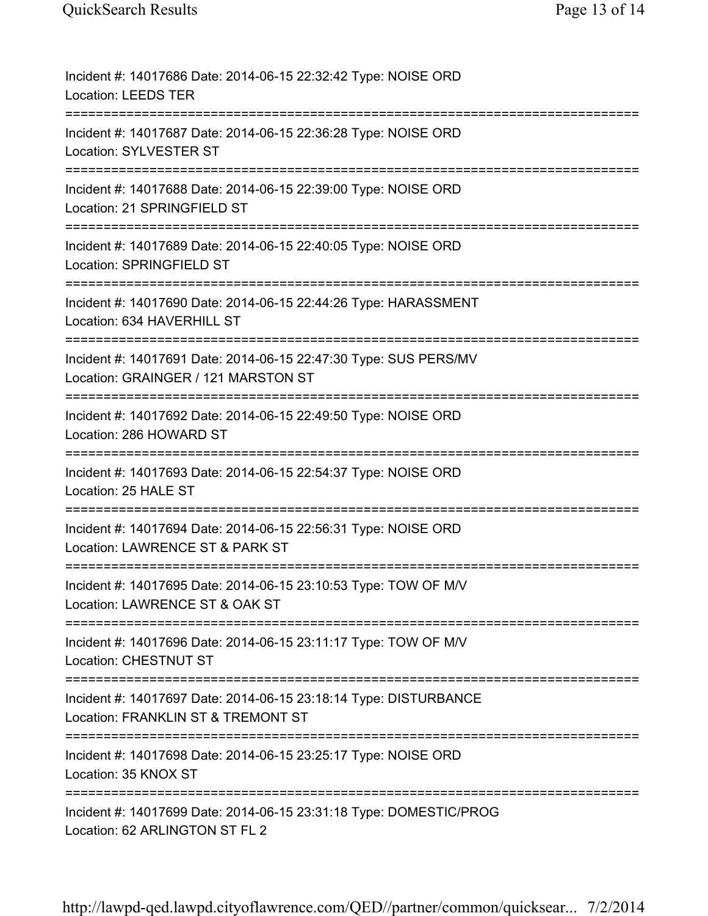| Incident #: 14017686 Date: 2014-06-15 22:32:42 Type: NOISE ORD<br><b>Location: LEEDS TER</b>            |
|---------------------------------------------------------------------------------------------------------|
| Incident #: 14017687 Date: 2014-06-15 22:36:28 Type: NOISE ORD<br>Location: SYLVESTER ST                |
| Incident #: 14017688 Date: 2014-06-15 22:39:00 Type: NOISE ORD<br>Location: 21 SPRINGFIELD ST           |
| Incident #: 14017689 Date: 2014-06-15 22:40:05 Type: NOISE ORD<br>Location: SPRINGFIELD ST              |
| Incident #: 14017690 Date: 2014-06-15 22:44:26 Type: HARASSMENT<br>Location: 634 HAVERHILL ST           |
| Incident #: 14017691 Date: 2014-06-15 22:47:30 Type: SUS PERS/MV<br>Location: GRAINGER / 121 MARSTON ST |
| Incident #: 14017692 Date: 2014-06-15 22:49:50 Type: NOISE ORD<br>Location: 286 HOWARD ST               |
| Incident #: 14017693 Date: 2014-06-15 22:54:37 Type: NOISE ORD<br>Location: 25 HALE ST                  |
| Incident #: 14017694 Date: 2014-06-15 22:56:31 Type: NOISE ORD<br>Location: LAWRENCE ST & PARK ST       |
| Incident #: 14017695 Date: 2014-06-15 23:10:53 Type: TOW OF M/V<br>Location: LAWRENCE ST & OAK ST       |
| Incident #: 14017696 Date: 2014-06-15 23:11:17 Type: TOW OF M/V<br>Location: CHESTNUT ST                |
| Incident #: 14017697 Date: 2014-06-15 23:18:14 Type: DISTURBANCE<br>Location: FRANKLIN ST & TREMONT ST  |
| Incident #: 14017698 Date: 2014-06-15 23:25:17 Type: NOISE ORD<br>Location: 35 KNOX ST                  |
| Incident #: 14017699 Date: 2014-06-15 23:31:18 Type: DOMESTIC/PROG<br>Location: 62 ARLINGTON ST FL 2    |